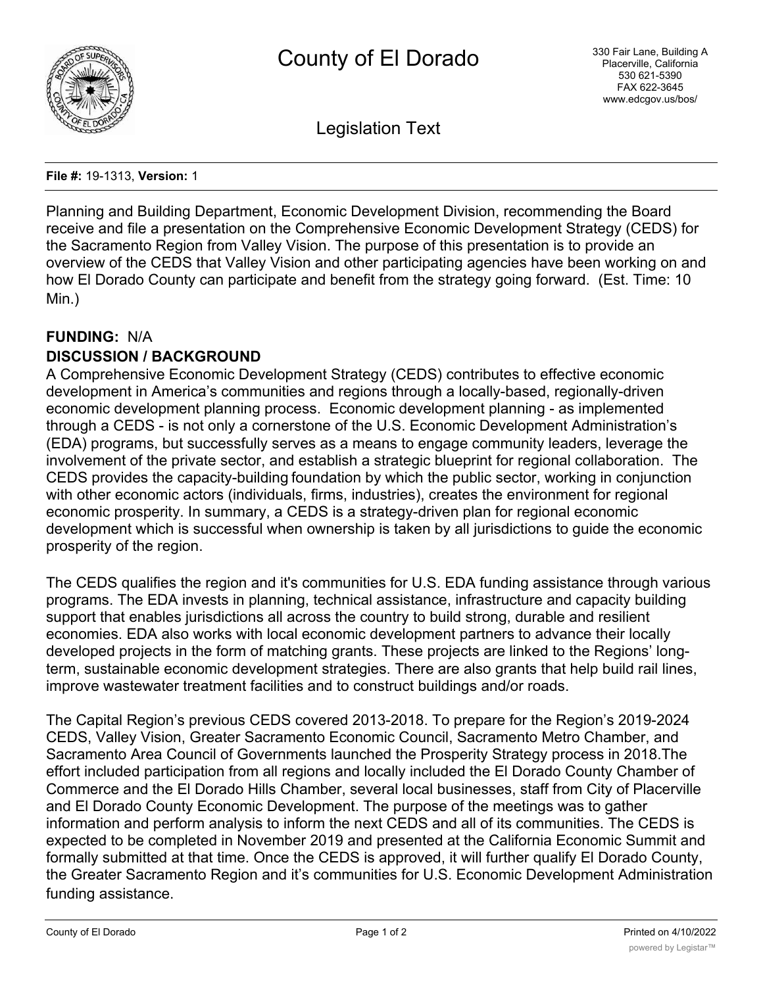

Legislation Text

**File #:** 19-1313, **Version:** 1

Planning and Building Department, Economic Development Division, recommending the Board receive and file a presentation on the Comprehensive Economic Development Strategy (CEDS) for the Sacramento Region from Valley Vision. The purpose of this presentation is to provide an overview of the CEDS that Valley Vision and other participating agencies have been working on and how El Dorado County can participate and benefit from the strategy going forward. (Est. Time: 10 Min.)

# **FUNDING:** N/A **DISCUSSION / BACKGROUND**

A Comprehensive Economic Development Strategy (CEDS) contributes to effective economic development in America's communities and regions through a locally-based, regionally-driven economic development planning process. Economic development planning - as implemented through a CEDS - is not only a cornerstone of the U.S. Economic Development Administration's (EDA) programs, but successfully serves as a means to engage community leaders, leverage the involvement of the private sector, and establish a strategic blueprint for regional collaboration. The CEDS provides the capacity-building foundation by which the public sector, working in conjunction with other economic actors (individuals, firms, industries), creates the environment for regional economic prosperity. In summary, a CEDS is a strategy-driven plan for regional economic development which is successful when ownership is taken by all jurisdictions to guide the economic prosperity of the region.

The CEDS qualifies the region and it's communities for U.S. EDA funding assistance through various programs. The EDA invests in planning, technical assistance, infrastructure and capacity building support that enables jurisdictions all across the country to build strong, durable and resilient economies. EDA also works with local economic development partners to advance their locally developed projects in the form of matching grants. These projects are linked to the Regions' longterm, sustainable economic development strategies. There are also grants that help build rail lines, improve wastewater treatment facilities and to construct buildings and/or roads.

The Capital Region's previous CEDS covered 2013-2018. To prepare for the Region's 2019-2024 CEDS, Valley Vision, Greater Sacramento Economic Council, Sacramento Metro Chamber, and Sacramento Area Council of Governments launched the Prosperity Strategy process in 2018.The effort included participation from all regions and locally included the El Dorado County Chamber of Commerce and the El Dorado Hills Chamber, several local businesses, staff from City of Placerville and El Dorado County Economic Development. The purpose of the meetings was to gather information and perform analysis to inform the next CEDS and all of its communities. The CEDS is expected to be completed in November 2019 and presented at the California Economic Summit and formally submitted at that time. Once the CEDS is approved, it will further qualify El Dorado County, the Greater Sacramento Region and it's communities for U.S. Economic Development Administration funding assistance.